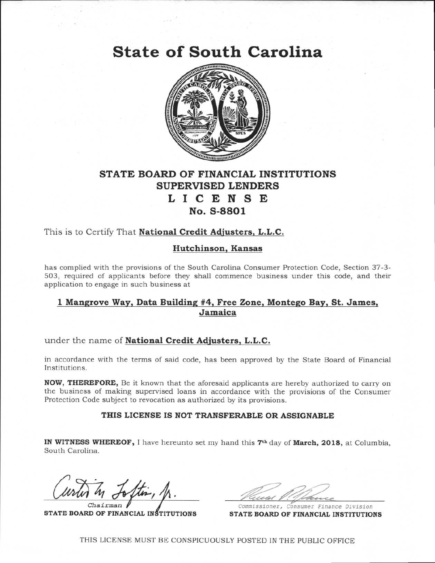**State of South Carolina** 



# **STATE BOARD OF FINANCIAL INSTITUTIONS SUPERVISED LENDERS LICENSE No. S-8801**

## This is to Certify That **National Credit Adjusters, L.L.C.**

### **Hutchinson, Kansas**

has complied with the provisions of the South Carolina Consumer Protection Code, Section 37-3- 503, required of applicants before they shall commence business under this code, and their application to engage in such business at

### **1 Mangrove Way, Data Building #4, Free Zone, Montego Bay, St. James, Jamaica**

under the name of **National Credit Adjusters, L.L.C.** 

in accordance with the terms of said code, has been approved by the State Board of Financial Institutions.

**NOW, THEREFORE,** Be it known that the aforesaid applicants are hereby authorized to carry on the business of making supervised loans in accordance with the provisions of the Consumer Protection Code subject to revocation as authorized by its provisions.

#### **THIS LICENSE IS NOT TRANSFERABLE OR ASSIGNABLE**

**IN WITNESS WHEREOF,** I have hereunto set my hand this 7th day of **March, 2018,** at Columbia, South Carolina.

*Chairman*   $\sqrt{\mathbb{A}}$ .

**STATE BOARD OF FINANCIAL INSTITUTIONS** 

Commissioner, Consumer Finance Division **STATE BOARD OF FINANCIAL INSTITUTIONS** 

THIS LICENSE MUST BE CONSPICUOUSLY POSTED IN THE PUBLIC OFFICE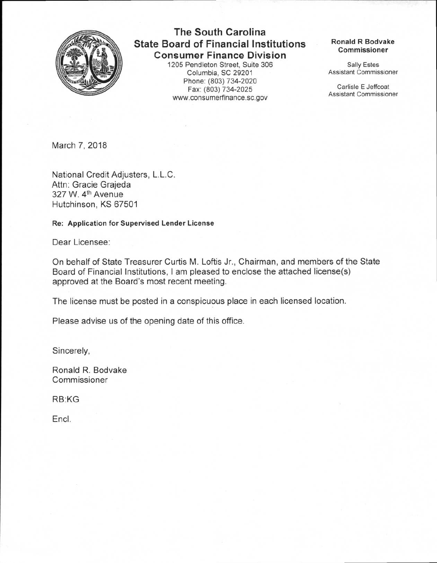

# **The South Carolina State Board of Financial Institutions Consumer Finance Division**

1205 Pendleton Street, Suite 306 Columbia, SC 29201 Phone: (803) 734-2020 Fax: (803) 734-2025 www.consumerfinance.sc.gov

#### **Ronald R Bodvake Commissioner**

Sally Estes Assistant Commissioner

Carlisle E Jeffcoat Assistant Commissioner

March 7, 2018

National Credit Adjusters, L.L.C. Attn: Gracie Grajeda 327 W. 4th Avenue Hutchinson, KS 67501

**Re: Application for Supervised Lender License** 

Dear Licensee:

On behalf of State Treasurer Curtis M. Loftis Jr., Chairman, and members of the State Board of Financial Institutions, I am pleased to enclose the attached license(s) approved at the Board's most recent meeting.

The license must be posted in a conspicuous place in each licensed location.

Please advise us of the opening date of this office.

Sincerely,

Ronald R. Bodvake Commissioner

RB:KG

Encl.